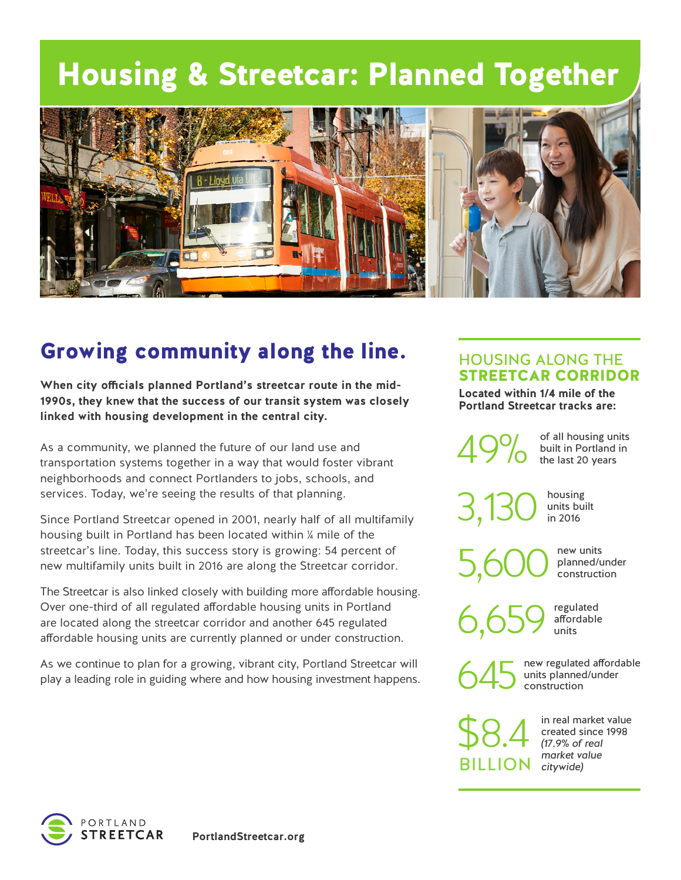# Housing & Streetcar: Planned Together



## Growing community along the line.

**When city officials planned Portland's streetcar route in the mid-1990s, they knew that the success of our transit system was closely linked with housing development in the central city.** 

As a community, we planned the future of our land use and transportation systems together in a way that would foster vibrant neighborhoods and connect Portlanders to jobs, schools, and services. Today, we're seeing the results of that planning.

Since Portland Streetcar opened in 2001, nearly half of all multifamily housing built in Portland has been located within ¼ mile of the streetcar's line. Today, this success story is growing: 54 percent of new multifamily units built in 2016 are along the Streetcar corridor.

The Streetcar is also linked closely with building more affordable housing. Over one-third of all regulated affordable housing units in Portland are located along the streetcar corridor and another 645 regulated affordable housing units are currently planned or under construction.

As we continue to plan for a growing, vibrant city, Portland Streetcar will play a leading role in guiding where and how housing investment happens.

### HOUSING ALONG THE STREETCAR CORRIDOR

**Located within 1/4 mile of the Portland Streetcar tracks are:**

of all housing units built in Portland in<br>the last 20 years

 $3,130$   $\frac{100 \text{ units} \text{ built}}{10,2016}$ 

new units planned/under<br>construction

housing<br>units built

 $6,659$  affordable

new regulated affordable units planned/under<br>construction

regulated

*citywide)* BILLION \$8.4

in real market value created since 1998 *(17.9% of real market value*